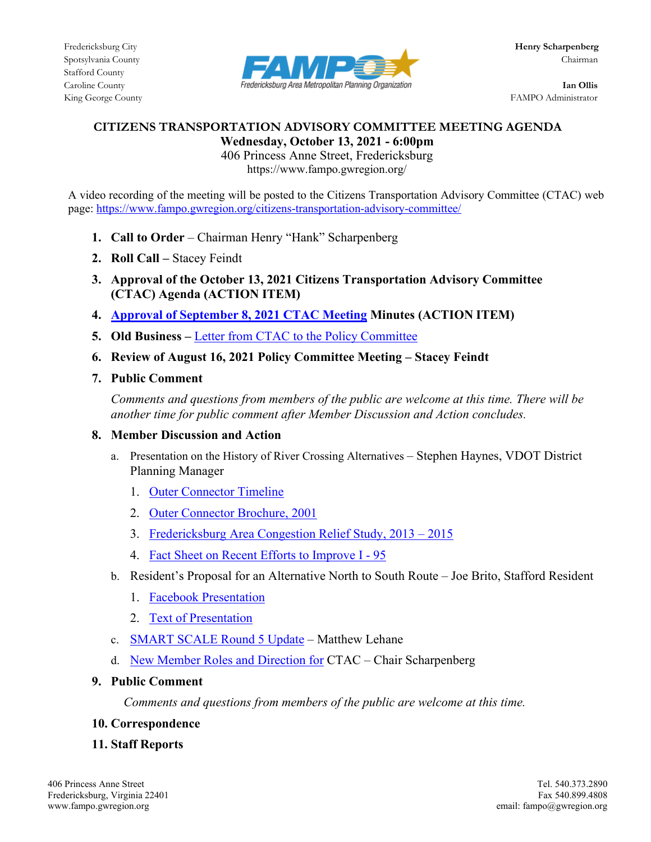

King George County FAMPO Administrator

## **CITIZENS TRANSPORTATION ADVISORY COMMITTEE MEETING AGENDA Wednesday, October 13, 2021 - 6:00pm**

406 Princess Anne Street, Fredericksburg https://www.fampo.gwregion.org/

A video recording of the meeting will be posted to the Citizens Transportation Advisory Committee (CTAC) web page[: https://www.fampo.gwregion.org/citizens-transportation-advisory-committee/](https://www.fampo.gwregion.org/citizens-transportation-advisory-committee/)

- **1. Call to Order**  Chairman Henry "Hank" Scharpenberg
- **2. Roll Call –** Stacey Feindt
- **3. Approval of the October 13, 2021 Citizens Transportation Advisory Committee (CTAC) Agenda (ACTION ITEM)**
- **4. [Approval of September 8,](https://www.fampo.gwregion.org/wp-content/uploads/2021/09/9.8.2021-CTAC-Draft-Meeting-Minutes_Staff-Reviewed.pdf) 2021 CTAC Meeting Minutes (ACTION ITEM)**
- **5. Old Business –** [Letter from CTAC to the Policy Committee](https://www.fampo.gwregion.org/wp-content/uploads/2021/09/7d3_CTAC-Letter-to-Policy-RE-2050-LRTP-Draft-Project-List.pdf)
- **6. Review of August 16, 2021 Policy Committee Meeting – Stacey Feindt**
- **7. Public Comment**

*Comments and questions from members of the public are welcome at this time. There will be another time for public comment after Member Discussion and Action concludes.*

**8. Member Discussion and Action**

- a. Presentation on the History of River Crossing Alternatives Stephen Haynes, VDOT District Planning Manager
	- 1. [Outer Connector Timeline](https://www.fampo.gwregion.org/wp-content/uploads/2021/09/Outer-Connector-Time-Line.pdf)
	- 2. [Outer Connector Brochure, 2001](https://www.fampo.gwregion.org/wp-content/uploads/2021/09/Outer-Connector-Brochure.pdf)
	- 3. [Fredericksburg Area Congestion Relief Study, 2013 –](https://www.fampo.gwregion.org/wp-content/uploads/2021/09/FACRS-Summary.pdf) 2015
	- 4. [Fact Sheet on Recent Efforts to Improve I -](https://www.fampo.gwregion.org/wp-content/uploads/2021/09/I95-Current-Work-Fact-Sheet.pdf) 95
- b. Resident's Proposal for an Alternative North to South Route Joe Brito, Stafford Resident
	- 1. [Facebook Presentation](https://www.facebook.com/photo/?fbid=4126524564124160&set=pcb.4126572820786001)
	- 2. [Text of Presentation](https://www.fampo.gwregion.org/wp-content/uploads/2021/10/Agenda-Item-8-b-CTAC-10.13.2021.docx)
- c. [SMART SCALE Round 5 Update](https://www.fampo.gwregion.org/wp-content/uploads/2021/10/SMART-SCALE_October-CTAC-v3.pdf) Matthew Lehane
- d. [New Member Roles and Direction for](https://www.fampo.gwregion.org/wp-content/uploads/2021/10/Chairman-CTAC-Presentation-Final.pdf) CTAC Chair Scharpenberg
- **9. Public Comment**

 *Comments and questions from members of the public are welcome at this time.*

- **10. Correspondence**
- **11. Staff Reports**